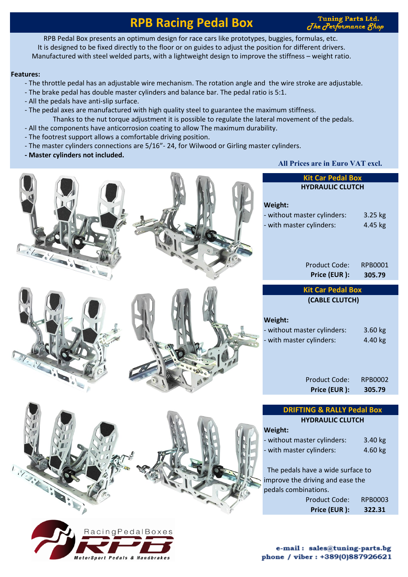## **RPB Racing Pedal Box**

**Tuning Parts Ltd.** The Performance 8h

RPB Pedal Box presents an optimum design for race cars like prototypes, buggies, formulas, etc. It is designed to be fixed directly to the floor or on guides to adjust the position for different drivers. Manufactured with steel welded parts, with a lightweight design to improve the stiffness – weight ratio.

#### **Features:**

 $\sqrt{ }$ 

 $\overline{I}$ 

- The throttle pedal has an adjustable wire mechanism. The rotation angle and the wire stroke are adjustable.
- The brake pedal has double master cylinders and balance bar. The pedal ratio is 5:1.
- All the pedals have anti-slip surface.
- The pedal axes are manufactured with high quality steel to guarantee the maximum stiffness. Thanks to the nut torque adjustment it is possible to regulate the lateral movement of the pedals.
- All the components have anticorrosion coating to allow The maximum durability.
- The footrest support allows a comfortable driving position.
- The master cylinders connections are 5/16"- 24, for Wilwood or Girling master cylinders.
- **Master cylinders not included.**

#### **All Prices are in Euro VAT excl.**

|                     | <b>Kit Car Pedal Box</b><br><b>HYDRAULIC CLUTCH</b><br>Weight:<br>- without master cylinders:<br>- with master cylinders:                                                                                                                                             |
|---------------------|-----------------------------------------------------------------------------------------------------------------------------------------------------------------------------------------------------------------------------------------------------------------------|
| ilaicais i          | <b>Product Code:</b><br>Price (EUR):                                                                                                                                                                                                                                  |
| Tribute de la Carte | <b>Kit Car Pedal Box</b><br>(CABLE CLUTCH)<br>Weight:<br>- without master cylinders:<br>- with master cylinders:<br><b>Product Code:</b><br>Price (EUR):                                                                                                              |
| 9:10                | <b>DRIFTING &amp; RALLY Peda</b><br><b>HYDRAULIC CLUTCH</b><br>Weight:<br>- without master cylinders:<br>- with master cylinders:<br>The pedals have a wide surface<br>improve the driving and ease the<br>pedals combinations.<br>Product Code:<br>F<br>Price (EUR): |

.<br>MotorSport Pedals & Handbrakes

| Weight:                     |         |
|-----------------------------|---------|
| - without master cylinders: | 3.25 kg |
| - with master cylinders:    | 4.45 kg |
|                             |         |
|                             |         |

| <b>Product Code:</b> | RPB0001 |
|----------------------|---------|
| Price (EUR):         | 305.79  |

|  | <b>Kit Car Pedal Box</b> |  |
|--|--------------------------|--|
|  | (CABLE CLUTCH)           |  |

| - without master cylinders: | $3.60$ kg |
|-----------------------------|-----------|
| - with master cylinders:    | 4.40 kg   |

| Product Code: | RPB0002 |
|---------------|---------|
| Price (EUR):  | 305.79  |

#### **DRIFTING & RALLY Pedal Box AULIC CLUTCH**

| Weight:                     |           |
|-----------------------------|-----------|
| - without master cylinders: | $3.40$ kg |
| - with master cylinders:    | 4.60 kg   |

a wide surface to ng and ease the pns.

| Product Code: | RPB0003 |
|---------------|---------|
| Price (EUR):  | 322.31  |

e-mail: sales@tuning-parts.bg phone / viber : +389(0)887926621